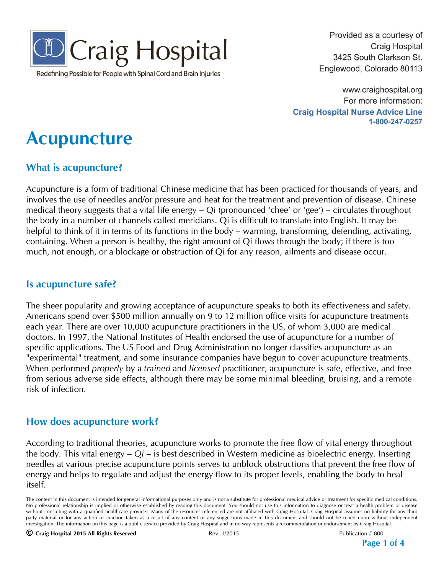

Redefining Possible for People with Spinal Cord and Brain Injuries

Provided as a courtesy of **Craig Hospital** 3425 South Clarkson St. Englewood, Colorado 80113

www.craighospital.org For more information: **Craig Hospital Nurse Advice Line** 1-800-247-0257

# **Acupuncture**

#### **What is acupuncture?**

Acupuncture is a form of traditional Chinese medicine that has been practiced for thousands of years, and involves the use of needles and/or pressure and heat for the treatment and prevention of disease. Chinese medical theory suggests that a vital life energy – Qi (pronounced 'chee' or 'gee') – circulates throughout the body in a number of channels called meridians. Qi is difficult to translate into English. It may be helpful to think of it in terms of its functions in the body – warming, transforming, defending, activating, containing. When a person is healthy, the right amount of Qi flows through the body; if there is too much, not enough, or a blockage or obstruction of Qi for any reason, ailments and disease occur.

#### **Is acupuncture safe?**

The sheer popularity and growing acceptance of acupuncture speaks to both its effectiveness and safety. Americans spend over \$500 million annually on 9 to 12 million office visits for acupuncture treatments each year. There are over 10,000 acupuncture practitioners in the US, of whom 3,000 are medical doctors. In 1997, the National Institutes of Health endorsed the use of acupuncture for a number of specific applications. The US Food and Drug Administration no longer classifies acupuncture as an "experimental" treatment, and some insurance companies have begun to cover acupuncture treatments. When performed *properly* by a *trained* and *licensed* practitioner, acupuncture is safe, effective, and free from serious adverse side effects, although there may be some minimal bleeding, bruising, and a remote risk of infection.

#### **How does acupuncture work?**

According to traditional theories, acupuncture works to promote the free flow of vital energy throughout the body. This vital energy – *Qi* – is best described in Western medicine as bioelectric energy. Inserting needles at various precise acupuncture points serves to unblock obstructions that prevent the free flow of energy and helps to regulate and adjust the energy flow to its proper levels, enabling the body to heal itself.

**Page 1 of 4**

The content in this document is intended for general informational purposes only and is not a substitute for professional medical advice or treatment for specific medical conditions. No professional relationship is implied or otherwise established by reading this document. You should not use this information to diagnose or treat a health problem or disease without consulting with a qualified healthcare provider. Many of the resources referenced are not affiliated with Craig Hospital. Craig Hospital assumes no liability for any third party material or for any action or inaction taken as a result of any content or any suggestions made in this document and should not be relied upon without independent investigation. The information on this page is a public service provided by Craig Hospital and in no way represents a recommendation or endorsement by Craig Hospital.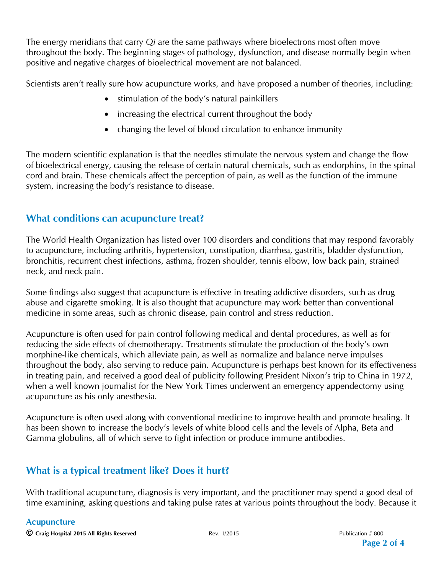The energy meridians that carry *Qi* are the same pathways where bioelectrons most often move throughout the body. The beginning stages of pathology, dysfunction, and disease normally begin when positive and negative charges of bioelectrical movement are not balanced.

Scientists aren't really sure how acupuncture works, and have proposed a number of theories, including:

- stimulation of the body's natural painkillers
- increasing the electrical current throughout the body
- changing the level of blood circulation to enhance immunity

The modern scientific explanation is that the needles stimulate the nervous system and change the flow of bioelectrical energy, causing the release of certain natural chemicals, such as endorphins, in the spinal cord and brain. These chemicals affect the perception of pain, as well as the function of the immune system, increasing the body's resistance to disease.

### **What conditions can acupuncture treat?**

The World Health Organization has listed over 100 disorders and conditions that may respond favorably to acupuncture, including arthritis, hypertension, constipation, diarrhea, gastritis, bladder dysfunction, bronchitis, recurrent chest infections, asthma, frozen shoulder, tennis elbow, low back pain, strained neck, and neck pain.

Some findings also suggest that acupuncture is effective in treating addictive disorders, such as drug abuse and cigarette smoking. It is also thought that acupuncture may work better than conventional medicine in some areas, such as chronic disease, pain control and stress reduction.

Acupuncture is often used for pain control following medical and dental procedures, as well as for reducing the side effects of chemotherapy. Treatments stimulate the production of the body's own morphine-like chemicals, which alleviate pain, as well as normalize and balance nerve impulses throughout the body, also serving to reduce pain. Acupuncture is perhaps best known for its effectiveness in treating pain, and received a good deal of publicity following President Nixon's trip to China in 1972, when a well known journalist for the New York Times underwent an emergency appendectomy using acupuncture as his only anesthesia.

Acupuncture is often used along with conventional medicine to improve health and promote healing. It has been shown to increase the body's levels of white blood cells and the levels of Alpha, Beta and Gamma globulins, all of which serve to fight infection or produce immune antibodies.

## **What is a typical treatment like? Does it hurt?**

With traditional acupuncture, diagnosis is very important, and the practitioner may spend a good deal of time examining, asking questions and taking pulse rates at various points throughout the body. Because it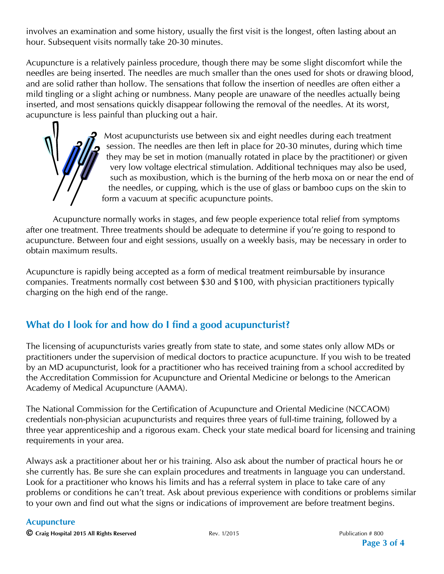involves an examination and some history, usually the first visit is the longest, often lasting about an hour. Subsequent visits normally take 20-30 minutes.

Acupuncture is a relatively painless procedure, though there may be some slight discomfort while the needles are being inserted. The needles are much smaller than the ones used for shots or drawing blood, and are solid rather than hollow. The sensations that follow the insertion of needles are often either a mild tingling or a slight aching or numbness. Many people are unaware of the needles actually being inserted, and most sensations quickly disappear following the removal of the needles. At its worst, acupuncture is less painful than plucking out a hair.

> Most acupuncturists use between six and eight needles during each treatment session. The needles are then left in place for 20-30 minutes, during which time they may be set in motion (manually rotated in place by the practitioner) or given very low voltage electrical stimulation. Additional techniques may also be used, such as moxibustion, which is the burning of the herb moxa on or near the end of the needles, or cupping, which is the use of glass or bamboo cups on the skin to form a vacuum at specific acupuncture points.

Acupuncture normally works in stages, and few people experience total relief from symptoms after one treatment. Three treatments should be adequate to determine if you're going to respond to acupuncture. Between four and eight sessions, usually on a weekly basis, may be necessary in order to obtain maximum results.

Acupuncture is rapidly being accepted as a form of medical treatment reimbursable by insurance companies. Treatments normally cost between \$30 and \$100, with physician practitioners typically charging on the high end of the range.

### **What do I look for and how do I find a good acupuncturist?**

The licensing of acupuncturists varies greatly from state to state, and some states only allow MDs or practitioners under the supervision of medical doctors to practice acupuncture. If you wish to be treated by an MD acupuncturist, look for a practitioner who has received training from a school accredited by the Accreditation Commission for Acupuncture and Oriental Medicine or belongs to the American Academy of Medical Acupuncture (AAMA).

The National Commission for the Certification of Acupuncture and Oriental Medicine (NCCAOM) credentials non-physician acupuncturists and requires three years of full-time training, followed by a three year apprenticeship and a rigorous exam. Check your state medical board for licensing and training requirements in your area.

Always ask a practitioner about her or his training. Also ask about the number of practical hours he or she currently has. Be sure she can explain procedures and treatments in language you can understand. Look for a practitioner who knows his limits and has a referral system in place to take care of any problems or conditions he can't treat. Ask about previous experience with conditions or problems similar to your own and find out what the signs or indications of improvement are before treatment begins.